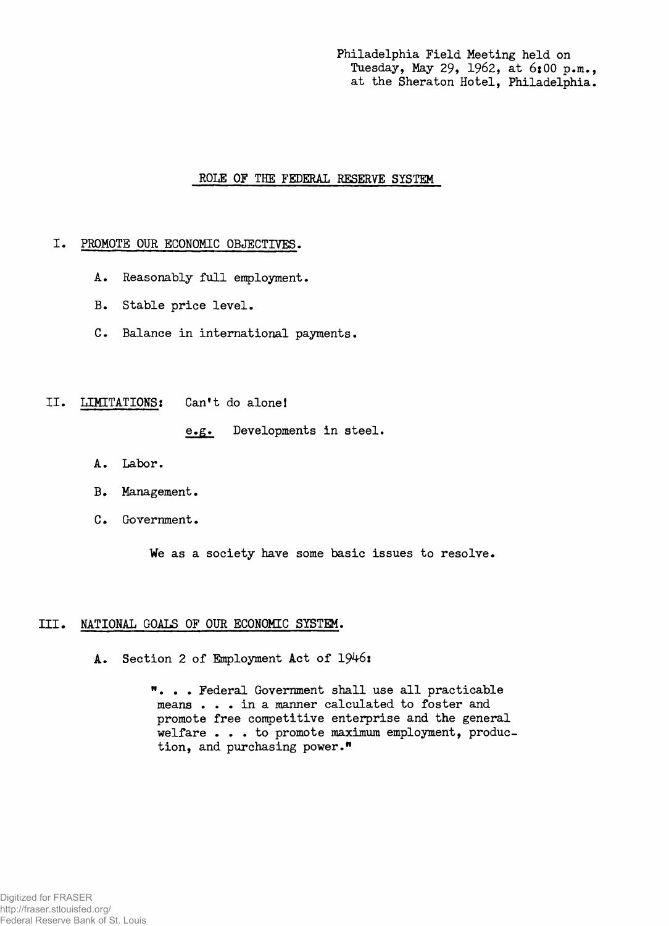**Philadelphia Field Meeting held on** Tuesday, May 29, 1962, at 6:00 p.m., **at the Sheraton Hotel, Philadelphia.**

## **ROLE OF THE FEDERAL RESERVE SYSTEM**

## **I. PROMOTE OUR ECONOMIC OBJECTIVES.**

- **A. Reasonably full employment.**
- **B. Stable price level.**
- **C. Balance in international payments.**
- **H . LIMITATIONS: Can't do alone!**

**e.g. Developments in steel.**

- A. Labor.
- **B. Management.**
- **C. Government.**

**We as a society have some basic issues to resolve.**

## **III. NATIONAL GOALS OF OUR ECONOMIC SYSTEM.**

**A. Section 2 of Employment Act of 1946:**

**M. . . Federal Government shall use all practicable means . . . in a manner calculated to foster and promote free competitive enterprise and the general welfare . . . to promote maximum employment, production, and purchasing power."**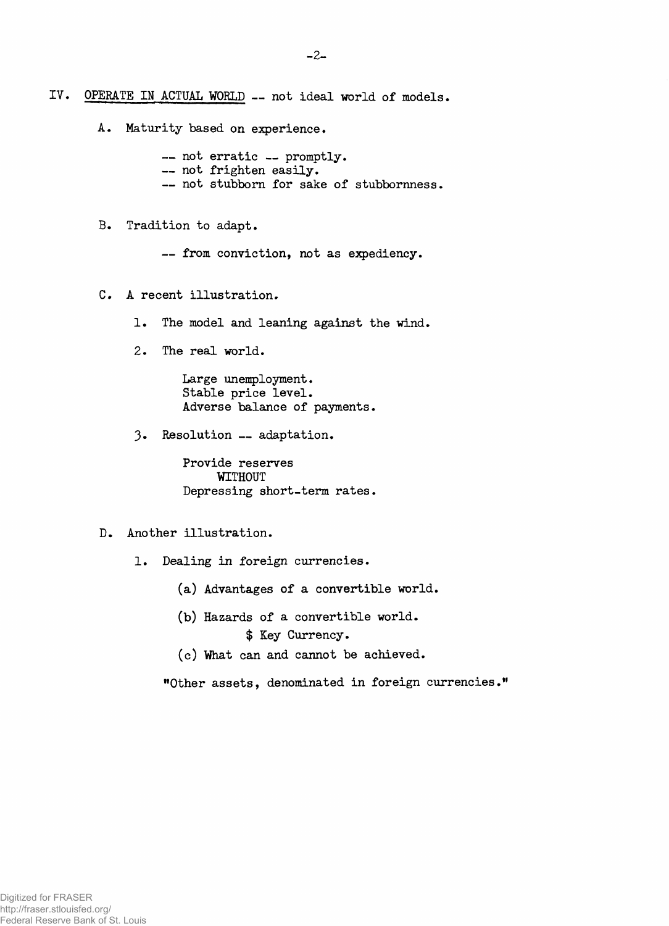**IV. OPERATE IN ACTUAL WORLD — not ideal world of models.**

**A. Maturity based on experience.**

**— not erratic — promptly. — not frighten easily. — not stubborn for sake of stubbornness.**

**B. Tradition to adapt.**

**— from conviction, not as expediency.**

- **C. A recent illustration.**
	- **1. The model and leaning against the wind.**
	- **2. The real world.**

**Large unemployment. Stable price level. Adverse balance of payments.**

**3. Resolution — adaptation.**

**Provide reserves WITHOUT Depressing short-term rates.**

- **D. Another illustration.**
	- **1. Dealing in foreign currencies.**
		- **(a) Advantages of a convertible world.**
		- **(b) Hazards of a convertible world. \$ Key Currency.**
		- **(c) What can and cannot be achieved.**

**"Other assets, denominated in foreign currencies."**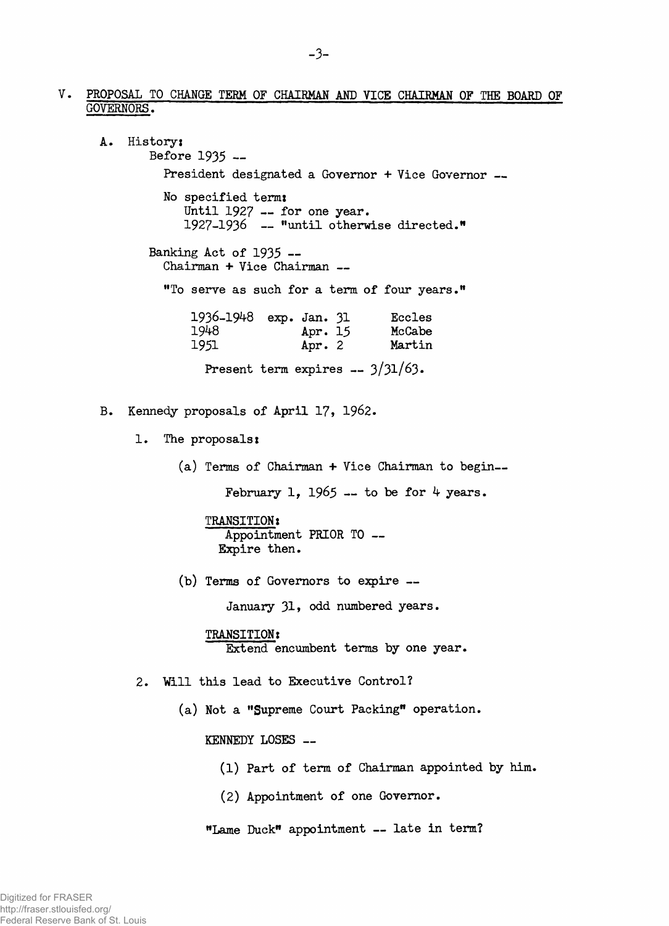- **PROPOSAL TO CHANGE TERM OF CHAIRMAN AND VICE CHAIRMAN OF THE BOARD OF GOVERNORS.**
	- **A. History; Before 1935 — President designated a Governor + Vice Governor — No specified term:** Until 1927 -- for one year. **1927-1936 — "until otherwise directed." Banking Act of 1935 — Chairman + Vice Chairman — "To serve as such for a term of four years." 1936-1948 exp. Jan. 31 Eccles 1948 Apr. 15 McCabe** Apr. 2 **Present term expires — 3/31/63» B. Kennedy proposals of April 17, 1962. 1. The proposals: (a) Terms of Chairman + Vice Chairman to begin—** February 1,  $1965 -$  to be for  $4$  years. **TRANSITION: Appointment PRIOR TO — Expire then. (b) Terms of Governors to expire — January 31, odd numbered years. TRANSITION: Extend encumbent terms by one year. 2. Will this lead to Executive Control? (a) Not a "Supreme Court Packing" operation. KENNEDY LOSES —**
		- **(1) Part of term of Chairman appointed by him.**
		- **(2) Appointment of one Governor.**
		- **"Lame Duck" appointment late in term?**